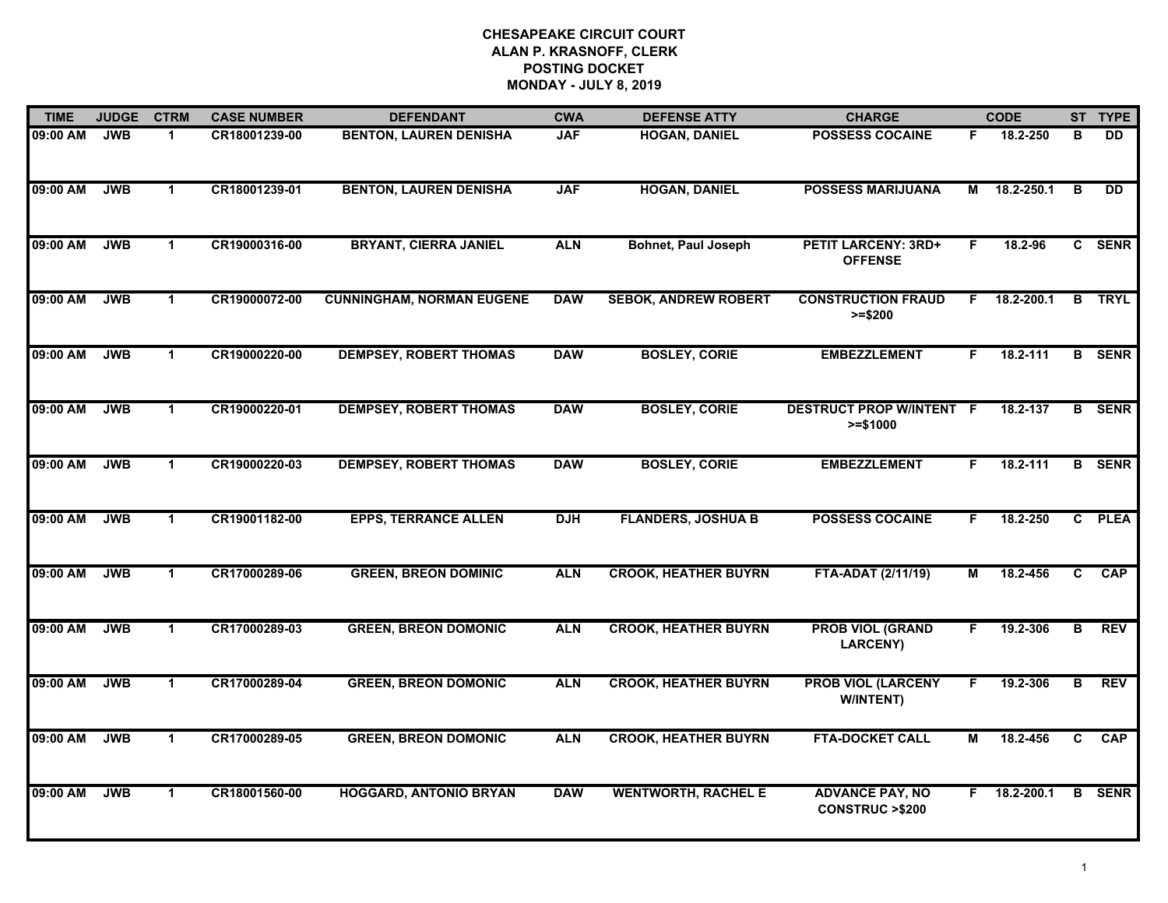| <b>TIME</b> | <b>JUDGE</b> | <b>CTRM</b>          | <b>CASE NUMBER</b> | <b>DEFENDANT</b>                 | <b>CWA</b> | <b>DEFENSE ATTY</b>         | <b>CHARGE</b>                                       |    | <b>CODE</b>    |                         | ST TYPE       |
|-------------|--------------|----------------------|--------------------|----------------------------------|------------|-----------------------------|-----------------------------------------------------|----|----------------|-------------------------|---------------|
| 09:00 AM    | <b>JWB</b>   | -1                   | CR18001239-00      | <b>BENTON, LAUREN DENISHA</b>    | <b>JAF</b> | <b>HOGAN, DANIEL</b>        | <b>POSSESS COCAINE</b>                              | F. | 18.2-250       | B                       | <b>DD</b>     |
| 09:00 AM    | <b>JWB</b>   | $\mathbf{1}$         | CR18001239-01      | <b>BENTON, LAUREN DENISHA</b>    | <b>JAF</b> | <b>HOGAN, DANIEL</b>        | <b>POSSESS MARIJUANA</b>                            | М  | 18.2-250.1     | B                       | <b>DD</b>     |
| 09:00 AM    | <b>JWB</b>   | $\blacktriangleleft$ | CR19000316-00      | <b>BRYANT, CIERRA JANIEL</b>     | <b>ALN</b> | <b>Bohnet, Paul Joseph</b>  | <b>PETIT LARCENY: 3RD+</b><br><b>OFFENSE</b>        | F. | 18.2-96        |                         | C SENR        |
| 09:00 AM    | <b>JWB</b>   | $\mathbf 1$          | CR19000072-00      | <b>CUNNINGHAM, NORMAN EUGENE</b> | <b>DAW</b> | <b>SEBOK, ANDREW ROBERT</b> | <b>CONSTRUCTION FRAUD</b><br>$>= $200$              | F. | 18.2-200.1     | В.                      | <b>TRYL</b>   |
| 09:00 AM    | <b>JWB</b>   | $\blacktriangleleft$ | CR19000220-00      | <b>DEMPSEY, ROBERT THOMAS</b>    | <b>DAW</b> | <b>BOSLEY, CORIE</b>        | <b>EMBEZZLEMENT</b>                                 | F. | 18.2-111       |                         | <b>B</b> SENR |
| 09:00 AM    | <b>JWB</b>   | $\mathbf{1}$         | CR19000220-01      | <b>DEMPSEY, ROBERT THOMAS</b>    | <b>DAW</b> | <b>BOSLEY, CORIE</b>        | <b>DESTRUCT PROP W/INTENT F</b><br>$>= $1000$       |    | 18.2-137       |                         | <b>B</b> SENR |
| 09:00 AM    | <b>JWB</b>   | $\mathbf{1}$         | CR19000220-03      | <b>DEMPSEY, ROBERT THOMAS</b>    | <b>DAW</b> | <b>BOSLEY, CORIE</b>        | <b>EMBEZZLEMENT</b>                                 | F. | $18.2 - 111$   |                         | <b>B</b> SENR |
| 09:00 AM    | <b>JWB</b>   | $\blacktriangleleft$ | CR19001182-00      | <b>EPPS, TERRANCE ALLEN</b>      | <b>DJH</b> | <b>FLANDERS, JOSHUA B</b>   | <b>POSSESS COCAINE</b>                              | F. | 18.2-250       |                         | C PLEA        |
| 09:00 AM    | <b>JWB</b>   | $\mathbf 1$          | CR17000289-06      | <b>GREEN, BREON DOMINIC</b>      | <b>ALN</b> | <b>CROOK, HEATHER BUYRN</b> | <b>FTA-ADAT (2/11/19)</b>                           | м  | 18.2-456       | C                       | CAP           |
| 09:00 AM    | <b>JWB</b>   | $\blacktriangleleft$ | CR17000289-03      | <b>GREEN, BREON DOMONIC</b>      | <b>ALN</b> | <b>CROOK, HEATHER BUYRN</b> | <b>PROB VIOL (GRAND</b><br><b>LARCENY)</b>          | F. | 19.2-306       | $\overline{\mathbf{B}}$ | <b>REV</b>    |
| 09:00 AM    | <b>JWB</b>   | $\blacktriangleleft$ | CR17000289-04      | <b>GREEN, BREON DOMONIC</b>      | <b>ALN</b> | <b>CROOK, HEATHER BUYRN</b> | <b>PROB VIOL (LARCENY</b><br>W/INTENT)              | F  | 19.2-306       | в                       | <b>REV</b>    |
| 09:00 AM    | <b>JWB</b>   | $\mathbf{1}$         | CR17000289-05      | <b>GREEN, BREON DOMONIC</b>      | <b>ALN</b> | <b>CROOK, HEATHER BUYRN</b> | <b>FTA-DOCKET CALL</b>                              | М  | 18.2-456       | C                       | <b>CAP</b>    |
| 09:00 AM    | <b>JWB</b>   | $\blacktriangleleft$ | CR18001560-00      | <b>HOGGARD, ANTONIO BRYAN</b>    | <b>DAW</b> | <b>WENTWORTH, RACHEL E</b>  | <b>ADVANCE PAY, NO</b><br><b>CONSTRUC &gt;\$200</b> |    | $F$ 18.2-200.1 |                         | <b>B</b> SENR |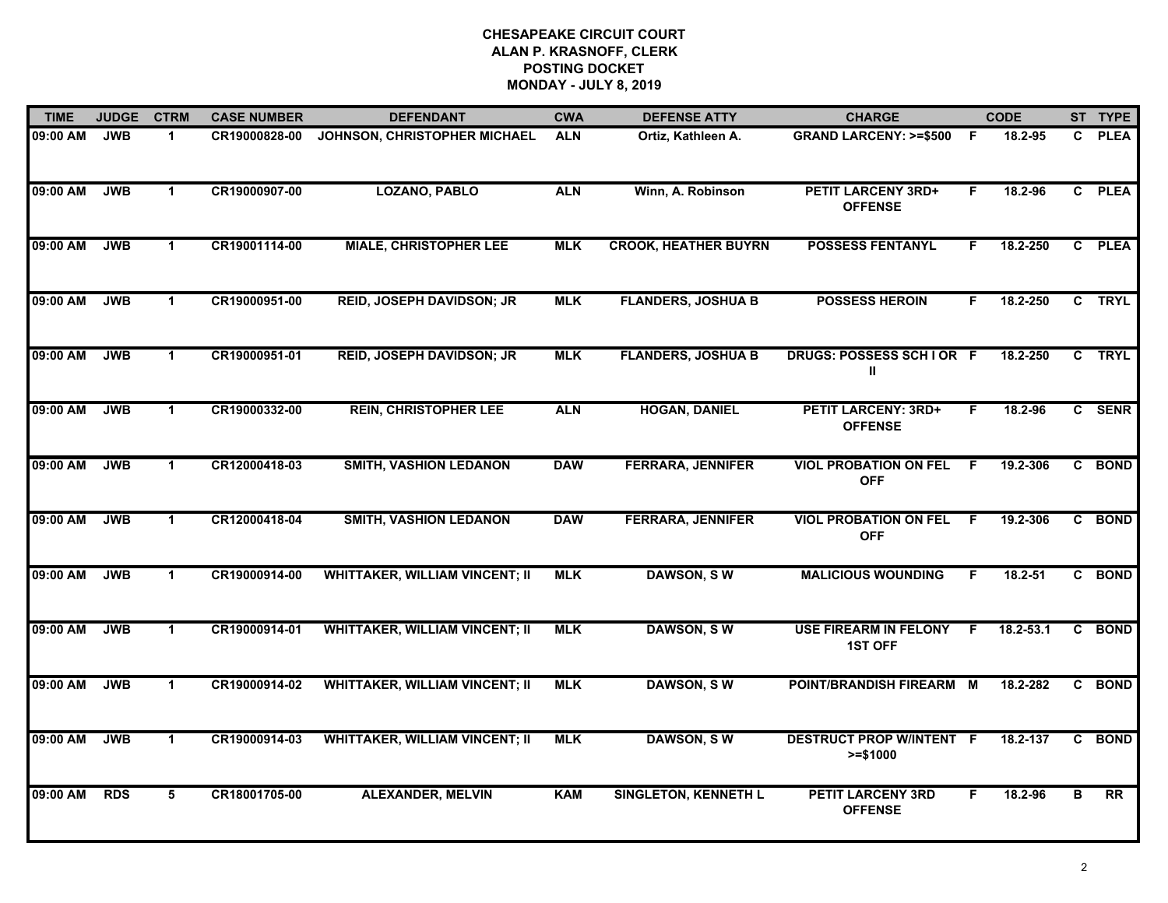| <b>TIME</b> | <b>JUDGE</b> | <b>CTRM</b>  | <b>CASE NUMBER</b> | <b>DEFENDANT</b>                      | <b>CWA</b> | <b>DEFENSE ATTY</b>         | <b>CHARGE</b>                                  |     | <b>CODE</b>   |              | ST TYPE     |
|-------------|--------------|--------------|--------------------|---------------------------------------|------------|-----------------------------|------------------------------------------------|-----|---------------|--------------|-------------|
| 09:00 AM    | <b>JWB</b>   | 1.           | CR19000828-00      | JOHNSON, CHRISTOPHER MICHAEL          | <b>ALN</b> | Ortiz, Kathleen A.          | <b>GRAND LARCENY: &gt;=\$500</b>               | - F | 18.2-95       | C            | <b>PLEA</b> |
| 09:00 AM    | <b>JWB</b>   | $\mathbf 1$  | CR19000907-00      | <b>LOZANO, PABLO</b>                  | <b>ALN</b> | Winn, A. Robinson           | <b>PETIT LARCENY 3RD+</b><br><b>OFFENSE</b>    | F.  | 18.2-96       | $\mathbf{c}$ | <b>PLEA</b> |
| 09:00 AM    | <b>JWB</b>   | $\mathbf{1}$ | CR19001114-00      | <b>MIALE, CHRISTOPHER LEE</b>         | <b>MLK</b> | <b>CROOK, HEATHER BUYRN</b> | <b>POSSESS FENTANYL</b>                        | F   | 18.2-250      | $\mathbf{c}$ | <b>PLEA</b> |
| 09:00 AM    | <b>JWB</b>   | $\mathbf 1$  | CR19000951-00      | <b>REID, JOSEPH DAVIDSON; JR</b>      | <b>MLK</b> | <b>FLANDERS, JOSHUA B</b>   | <b>POSSESS HEROIN</b>                          | F.  | 18.2-250      |              | C TRYL      |
| 09:00 AM    | <b>JWB</b>   | $\mathbf 1$  | CR19000951-01      | <b>REID, JOSEPH DAVIDSON; JR</b>      | <b>MLK</b> | <b>FLANDERS, JOSHUA B</b>   | DRUGS: POSSESS SCHIOR F<br>Ш                   |     | 18.2-250      |              | C TRYL      |
| 09:00 AM    | <b>JWB</b>   | $\mathbf 1$  | CR19000332-00      | <b>REIN, CHRISTOPHER LEE</b>          | <b>ALN</b> | <b>HOGAN, DANIEL</b>        | <b>PETIT LARCENY: 3RD+</b><br><b>OFFENSE</b>   | F.  | 18.2-96       |              | C SENR      |
| 09:00 AM    | <b>JWB</b>   | $\mathbf 1$  | CR12000418-03      | <b>SMITH, VASHION LEDANON</b>         | <b>DAW</b> | <b>FERRARA, JENNIFER</b>    | <b>VIOL PROBATION ON FEL</b><br><b>OFF</b>     | F.  | 19.2-306      | $\mathbf{c}$ | <b>BOND</b> |
| 09:00 AM    | <b>JWB</b>   | $\mathbf 1$  | CR12000418-04      | <b>SMITH, VASHION LEDANON</b>         | <b>DAW</b> | <b>FERRARA, JENNIFER</b>    | <b>VIOL PROBATION ON FEL</b><br><b>OFF</b>     | F   | 19.2-306      |              | C BOND      |
| 09:00 AM    | <b>JWB</b>   | 1            | CR19000914-00      | <b>WHITTAKER, WILLIAM VINCENT; II</b> | <b>MLK</b> | <b>DAWSON, SW</b>           | <b>MALICIOUS WOUNDING</b>                      | F   | $18.2 - 51$   |              | C BOND      |
| 09:00 AM    | <b>JWB</b>   | $\mathbf{1}$ | CR19000914-01      | <b>WHITTAKER, WILLIAM VINCENT; II</b> | <b>MLK</b> | <b>DAWSON, SW</b>           | <b>USE FIREARM IN FELONY</b><br><b>1ST OFF</b> | -F  | $18.2 - 53.1$ | $\mathbf{c}$ | <b>BOND</b> |
| 09:00 AM    | <b>JWB</b>   | $\mathbf 1$  | CR19000914-02      | <b>WHITTAKER, WILLIAM VINCENT; II</b> | <b>MLK</b> | <b>DAWSON, SW</b>           | POINT/BRANDISH FIREARM M                       |     | 18.2-282      | C.           | <b>BOND</b> |
| 09:00 AM    | <b>JWB</b>   | $\mathbf{1}$ | CR19000914-03      | <b>WHITTAKER, WILLIAM VINCENT; II</b> | <b>MLK</b> | <b>DAWSON, SW</b>           | <b>DESTRUCT PROP W/INTENT F</b><br>$>= $1000$  |     | 18.2-137      |              | C BOND      |
| 09:00 AM    | <b>RDS</b>   | 5            | CR18001705-00      | <b>ALEXANDER, MELVIN</b>              | <b>KAM</b> | <b>SINGLETON, KENNETH L</b> | <b>PETIT LARCENY 3RD</b><br><b>OFFENSE</b>     | F   | 18.2-96       | в            | RR          |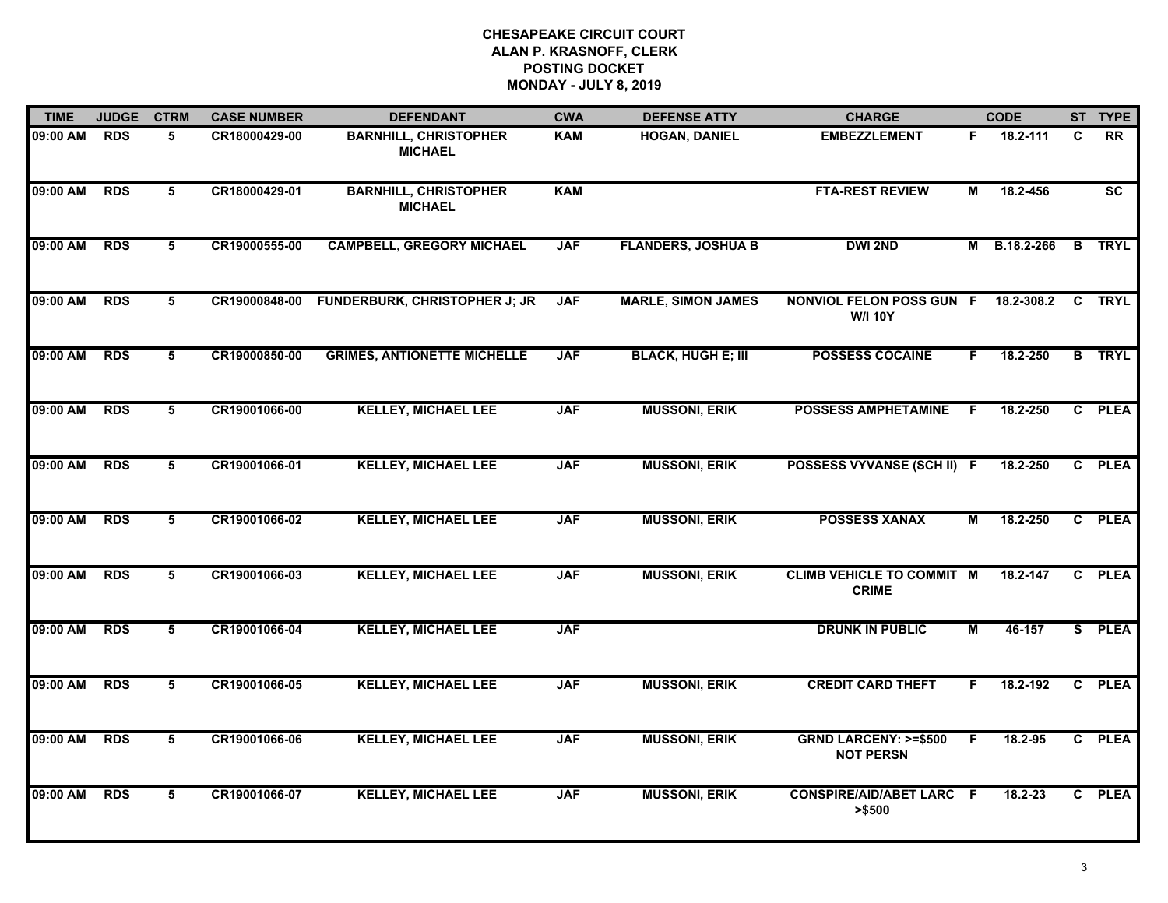| <b>TIME</b> | <b>JUDGE</b> | <b>CTRM</b> | <b>CASE NUMBER</b> | <b>DEFENDANT</b>                               | <b>CWA</b> | <b>DEFENSE ATTY</b>       | <b>CHARGE</b>                                       |    | <b>CODE</b>       |              | ST TYPE                |
|-------------|--------------|-------------|--------------------|------------------------------------------------|------------|---------------------------|-----------------------------------------------------|----|-------------------|--------------|------------------------|
| 09:00 AM    | <b>RDS</b>   | 5           | CR18000429-00      | <b>BARNHILL, CHRISTOPHER</b><br><b>MICHAEL</b> | KAM        | <b>HOGAN, DANIEL</b>      | <b>EMBEZZLEMENT</b>                                 | F. | 18.2-111          | C            | <b>RR</b>              |
| 09:00 AM    | <b>RDS</b>   | 5           | CR18000429-01      | <b>BARNHILL, CHRISTOPHER</b><br><b>MICHAEL</b> | <b>KAM</b> |                           | <b>FTA-REST REVIEW</b>                              | М  | 18.2-456          |              | $\overline{\text{sc}}$ |
| 09:00 AM    | <b>RDS</b>   | 5           | CR19000555-00      | <b>CAMPBELL, GREGORY MICHAEL</b>               | <b>JAF</b> | <b>FLANDERS, JOSHUA B</b> | <b>DWI 2ND</b>                                      |    | M B.18.2-266      |              | <b>B</b> TRYL          |
| 09:00 AM    | <b>RDS</b>   | 5           |                    | CR19000848-00 FUNDERBURK, CHRISTOPHER J; JR    | <b>JAF</b> | <b>MARLE, SIMON JAMES</b> | <b>NONVIOL FELON POSS GUN F</b><br><b>W/I 10Y</b>   |    | 18.2-308.2 C TRYL |              |                        |
| 09:00 AM    | <b>RDS</b>   | 5           | CR19000850-00      | <b>GRIMES, ANTIONETTE MICHELLE</b>             | <b>JAF</b> | <b>BLACK, HUGH E; III</b> | <b>POSSESS COCAINE</b>                              | F. | 18.2-250          |              | <b>B</b> TRYL          |
| 09:00 AM    | <b>RDS</b>   | 5           | CR19001066-00      | <b>KELLEY, MICHAEL LEE</b>                     | <b>JAF</b> | <b>MUSSONI, ERIK</b>      | <b>POSSESS AMPHETAMINE</b>                          | -F | 18.2-250          | C.           | <b>PLEA</b>            |
| 09:00 AM    | <b>RDS</b>   | 5           | CR19001066-01      | <b>KELLEY, MICHAEL LEE</b>                     | <b>JAF</b> | <b>MUSSONI, ERIK</b>      | POSSESS VYVANSE (SCH II) F                          |    | 18.2-250          | $\mathbf{c}$ | <b>PLEA</b>            |
| 09:00 AM    | <b>RDS</b>   | 5           | CR19001066-02      | <b>KELLEY, MICHAEL LEE</b>                     | <b>JAF</b> | <b>MUSSONI, ERIK</b>      | <b>POSSESS XANAX</b>                                | М  | 18.2-250          |              | C PLEA                 |
| 09:00 AM    | <b>RDS</b>   | 5           | CR19001066-03      | <b>KELLEY, MICHAEL LEE</b>                     | <b>JAF</b> | <b>MUSSONI, ERIK</b>      | <b>CLIMB VEHICLE TO COMMIT M</b><br><b>CRIME</b>    |    | 18.2-147          | $\mathbf{c}$ | <b>PLEA</b>            |
| 09:00 AM    | <b>RDS</b>   | 5           | CR19001066-04      | <b>KELLEY, MICHAEL LEE</b>                     | <b>JAF</b> |                           | <b>DRUNK IN PUBLIC</b>                              | М  | 46-157            |              | S PLEA                 |
| 09:00 AM    | <b>RDS</b>   | 5           | CR19001066-05      | <b>KELLEY, MICHAEL LEE</b>                     | <b>JAF</b> | <b>MUSSONI, ERIK</b>      | <b>CREDIT CARD THEFT</b>                            | F. | 18.2-192          | $\mathbf{C}$ | <b>PLEA</b>            |
| 09:00 AM    | <b>RDS</b>   | 5           | CR19001066-06      | <b>KELLEY, MICHAEL LEE</b>                     | <b>JAF</b> | <b>MUSSONI, ERIK</b>      | <b>GRND LARCENY: &gt;=\$500</b><br><b>NOT PERSN</b> | F  | 18.2-95           |              | C PLEA                 |
| 09:00 AM    | <b>RDS</b>   | 5           | CR19001066-07      | <b>KELLEY, MICHAEL LEE</b>                     | <b>JAF</b> | <b>MUSSONI, ERIK</b>      | <b>CONSPIRE/AID/ABET LARC F</b><br>> \$500          |    | 18.2-23           |              | C PLEA                 |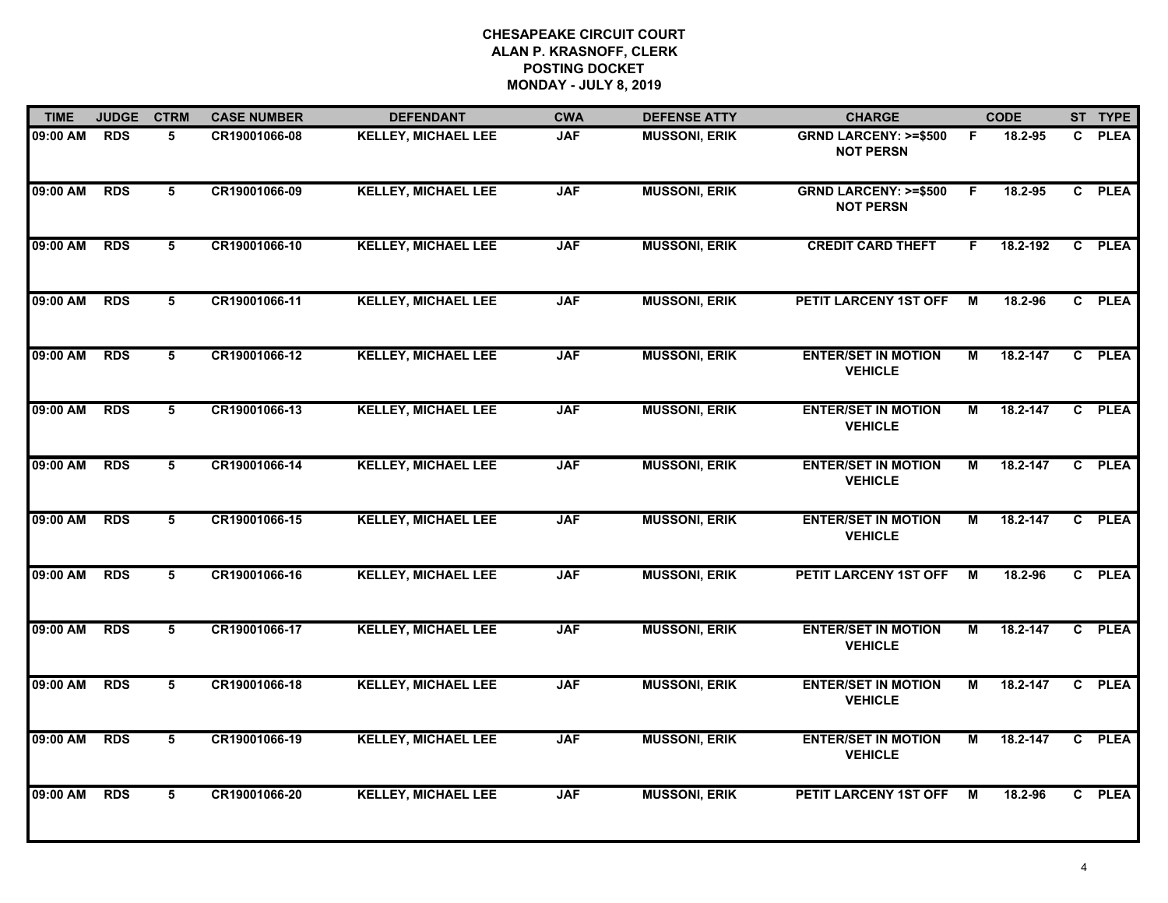| <b>TIME</b> | <b>JUDGE</b> | <b>CTRM</b> | <b>CASE NUMBER</b> | <b>DEFENDANT</b>           | <b>CWA</b> | <b>DEFENSE ATTY</b>  | <b>CHARGE</b>                                       |    | <b>CODE</b> |                | ST TYPE     |
|-------------|--------------|-------------|--------------------|----------------------------|------------|----------------------|-----------------------------------------------------|----|-------------|----------------|-------------|
| 09:00 AM    | <b>RDS</b>   | 5           | CR19001066-08      | <b>KELLEY, MICHAEL LEE</b> | <b>JAF</b> | <b>MUSSONI, ERIK</b> | <b>GRND LARCENY: &gt;=\$500</b><br><b>NOT PERSN</b> | F. | 18.2-95     | C.             | <b>PLEA</b> |
| 09:00 AM    | <b>RDS</b>   | 5           | CR19001066-09      | <b>KELLEY, MICHAEL LEE</b> | <b>JAF</b> | <b>MUSSONI, ERIK</b> | <b>GRND LARCENY: &gt;=\$500</b><br><b>NOT PERSN</b> | F. | 18.2-95     | $\mathbf{c}$   | <b>PLEA</b> |
| 09:00 AM    | <b>RDS</b>   | $5^{\circ}$ | CR19001066-10      | <b>KELLEY, MICHAEL LEE</b> | <b>JAF</b> | <b>MUSSONI, ERIK</b> | <b>CREDIT CARD THEFT</b>                            | F  | 18.2-192    | $\mathbf{c}$   | <b>PLEA</b> |
| 09:00 AM    | <b>RDS</b>   | 5           | CR19001066-11      | <b>KELLEY, MICHAEL LEE</b> | <b>JAF</b> | <b>MUSSONI, ERIK</b> | PETIT LARCENY 1ST OFF                               | М  | 18.2-96     |                | C PLEA      |
| 09:00 AM    | <b>RDS</b>   | 5           | CR19001066-12      | <b>KELLEY, MICHAEL LEE</b> | <b>JAF</b> | <b>MUSSONI, ERIK</b> | <b>ENTER/SET IN MOTION</b><br><b>VEHICLE</b>        | М  | 18.2-147    |                | C PLEA      |
| 09:00 AM    | <b>RDS</b>   | 5           | CR19001066-13      | <b>KELLEY, MICHAEL LEE</b> | <b>JAF</b> | <b>MUSSONI, ERIK</b> | <b>ENTER/SET IN MOTION</b><br><b>VEHICLE</b>        | М  | 18.2-147    |                | C PLEA      |
| 09:00 AM    | <b>RDS</b>   | 5           | CR19001066-14      | <b>KELLEY, MICHAEL LEE</b> | <b>JAF</b> | <b>MUSSONI, ERIK</b> | <b>ENTER/SET IN MOTION</b><br><b>VEHICLE</b>        | М  | 18.2-147    |                | C PLEA      |
| 09:00 AM    | <b>RDS</b>   | $5^{\circ}$ | CR19001066-15      | <b>KELLEY, MICHAEL LEE</b> | <b>JAF</b> | <b>MUSSONI, ERIK</b> | <b>ENTER/SET IN MOTION</b><br><b>VEHICLE</b>        | М  | 18.2-147    | $\mathbf{c}$   | <b>PLEA</b> |
| 09:00 AM    | <b>RDS</b>   | 5           | CR19001066-16      | <b>KELLEY, MICHAEL LEE</b> | <b>JAF</b> | <b>MUSSONI, ERIK</b> | PETIT LARCENY 1ST OFF                               | М  | 18.2-96     |                | C PLEA      |
| 09:00 AM    | <b>RDS</b>   | 5           | CR19001066-17      | <b>KELLEY, MICHAEL LEE</b> | <b>JAF</b> | <b>MUSSONI, ERIK</b> | <b>ENTER/SET IN MOTION</b><br><b>VEHICLE</b>        | М  | 18.2-147    |                | C PLEA      |
| 09:00 AM    | <b>RDS</b>   | 5           | CR19001066-18      | <b>KELLEY, MICHAEL LEE</b> | <b>JAF</b> | <b>MUSSONI, ERIK</b> | <b>ENTER/SET IN MOTION</b><br><b>VEHICLE</b>        | М  | 18.2-147    | $\mathbf{c}$   | <b>PLEA</b> |
| 09:00 AM    | <b>RDS</b>   | 5           | CR19001066-19      | <b>KELLEY, MICHAEL LEE</b> | <b>JAF</b> | <b>MUSSONI, ERIK</b> | <b>ENTER/SET IN MOTION</b><br><b>VEHICLE</b>        | М  | 18.2-147    | $\overline{c}$ | <b>PLEA</b> |
| 09:00 AM    | <b>RDS</b>   | 5           | CR19001066-20      | <b>KELLEY, MICHAEL LEE</b> | <b>JAF</b> | <b>MUSSONI, ERIK</b> | PETIT LARCENY 1ST OFF                               | М  | 18.2-96     |                | C PLEA      |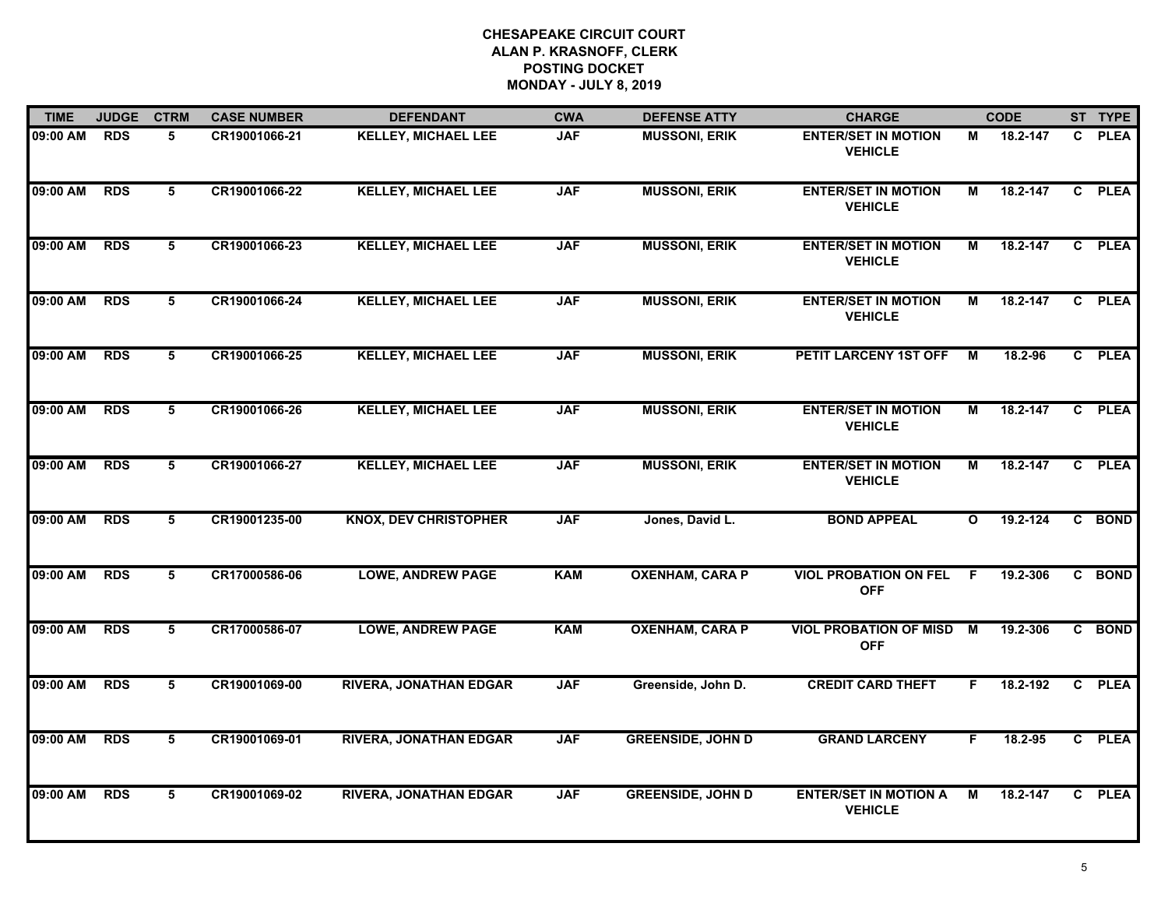| <b>TIME</b> | <b>JUDGE</b> | <b>CTRM</b>     | <b>CASE NUMBER</b> | <b>DEFENDANT</b>              | <b>CWA</b> | <b>DEFENSE ATTY</b>      | <b>CHARGE</b>                                  |              | <b>CODE</b>  |                | ST TYPE     |
|-------------|--------------|-----------------|--------------------|-------------------------------|------------|--------------------------|------------------------------------------------|--------------|--------------|----------------|-------------|
| 09:00 AM    | <b>RDS</b>   | 5               | CR19001066-21      | <b>KELLEY, MICHAEL LEE</b>    | <b>JAF</b> | <b>MUSSONI, ERIK</b>     | <b>ENTER/SET IN MOTION</b><br><b>VEHICLE</b>   | М            | 18.2-147     | C.             | <b>PLEA</b> |
| 09:00 AM    | <b>RDS</b>   | 5               | CR19001066-22      | <b>KELLEY, MICHAEL LEE</b>    | <b>JAF</b> | <b>MUSSONI, ERIK</b>     | <b>ENTER/SET IN MOTION</b><br><b>VEHICLE</b>   | М            | 18.2-147     | $\mathbf{c}$   | <b>PLEA</b> |
| 09:00 AM    | <b>RDS</b>   | 5               | CR19001066-23      | <b>KELLEY, MICHAEL LEE</b>    | <b>JAF</b> | <b>MUSSONI, ERIK</b>     | <b>ENTER/SET IN MOTION</b><br><b>VEHICLE</b>   | М            | 18.2-147     | $\mathbf{c}$   | <b>PLEA</b> |
| 09:00 AM    | <b>RDS</b>   | 5               | CR19001066-24      | <b>KELLEY, MICHAEL LEE</b>    | <b>JAF</b> | <b>MUSSONI, ERIK</b>     | <b>ENTER/SET IN MOTION</b><br><b>VEHICLE</b>   | М            | 18.2-147     |                | C PLEA      |
| 09:00 AM    | <b>RDS</b>   | 5               | CR19001066-25      | <b>KELLEY, MICHAEL LEE</b>    | <b>JAF</b> | <b>MUSSONI, ERIK</b>     | PETIT LARCENY 1ST OFF                          | М            | 18.2-96      |                | C PLEA      |
| 09:00 AM    | <b>RDS</b>   | 5               | CR19001066-26      | <b>KELLEY, MICHAEL LEE</b>    | <b>JAF</b> | <b>MUSSONI, ERIK</b>     | <b>ENTER/SET IN MOTION</b><br><b>VEHICLE</b>   | Μ            | 18.2-147     |                | C PLEA      |
| 09:00 AM    | <b>RDS</b>   | 5               | CR19001066-27      | <b>KELLEY, MICHAEL LEE</b>    | <b>JAF</b> | <b>MUSSONI, ERIK</b>     | <b>ENTER/SET IN MOTION</b><br><b>VEHICLE</b>   | М            | $18.2 - 147$ | $\mathbf{c}$   | <b>PLEA</b> |
| 09:00 AM    | <b>RDS</b>   | 5               | CR19001235-00      | <b>KNOX, DEV CHRISTOPHER</b>  | <b>JAF</b> | Jones, David L.          | <b>BOND APPEAL</b>                             | $\mathbf{o}$ | $19.2 - 124$ |                | C BOND      |
| 09:00 AM    | <b>RDS</b>   | 5               | CR17000586-06      | <b>LOWE, ANDREW PAGE</b>      | <b>KAM</b> | <b>OXENHAM, CARA P</b>   | <b>VIOL PROBATION ON FEL</b><br><b>OFF</b>     | F            | 19.2-306     |                | C BOND      |
| 09:00 AM    | <b>RDS</b>   | $\overline{5}$  | CR17000586-07      | <b>LOWE, ANDREW PAGE</b>      | <b>KAM</b> | <b>OXENHAM, CARA P</b>   | <b>VIOL PROBATION OF MISD</b><br><b>OFF</b>    | M            | 19.2-306     |                | C BOND      |
| 09:00 AM    | <b>RDS</b>   | $5\overline{5}$ | CR19001069-00      | <b>RIVERA, JONATHAN EDGAR</b> | <b>JAF</b> | Greenside, John D.       | <b>CREDIT CARD THEFT</b>                       | F.           | 18.2-192     | $\overline{c}$ | <b>PLEA</b> |
| 09:00 AM    | <b>RDS</b>   | 5               | CR19001069-01      | <b>RIVERA, JONATHAN EDGAR</b> | <b>JAF</b> | <b>GREENSIDE, JOHN D</b> | <b>GRAND LARCENY</b>                           | F.           | 18.2-95      |                | C PLEA      |
| 09:00 AM    | <b>RDS</b>   | 5               | CR19001069-02      | <b>RIVERA, JONATHAN EDGAR</b> | <b>JAF</b> | <b>GREENSIDE, JOHN D</b> | <b>ENTER/SET IN MOTION A</b><br><b>VEHICLE</b> | М            | 18.2-147     | $\mathbf{C}$   | <b>PLEA</b> |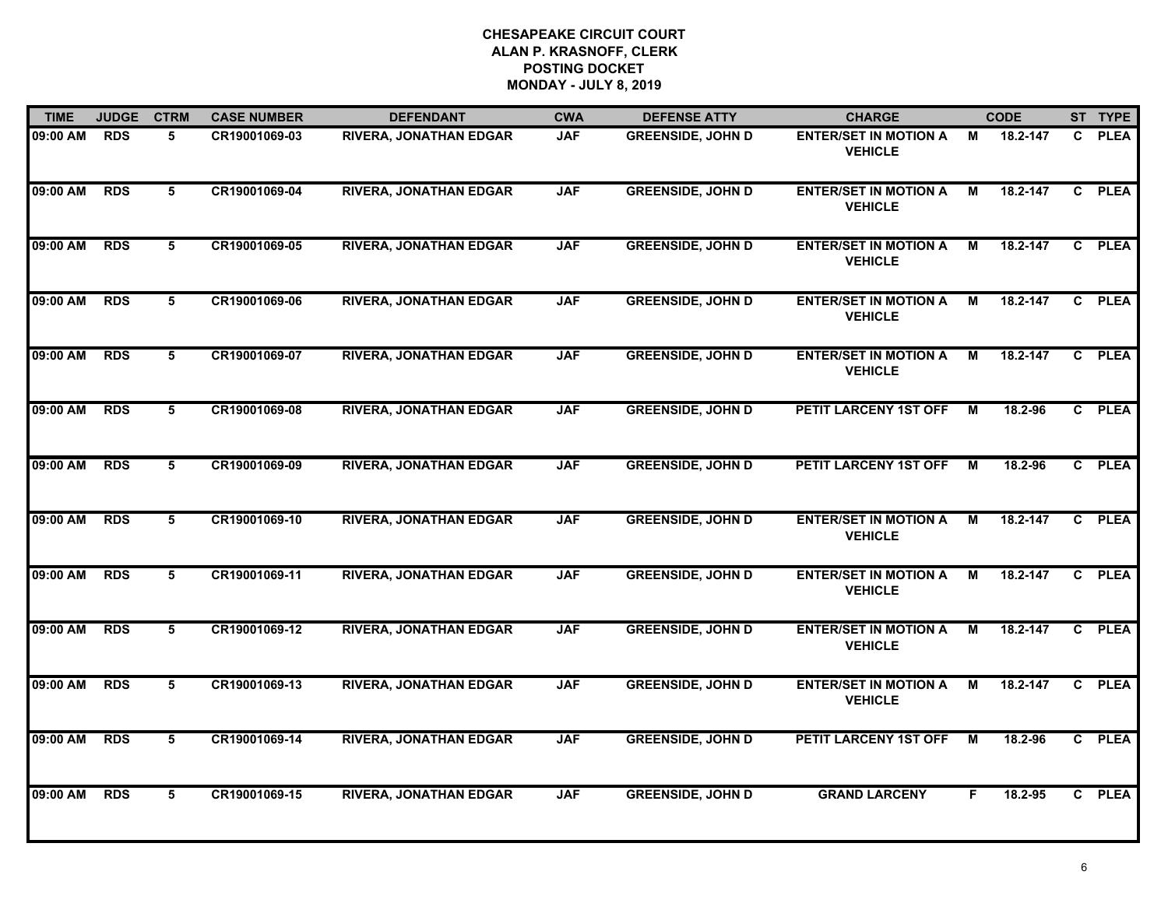| <b>TIME</b> | <b>JUDGE</b> | <b>CTRM</b> | <b>CASE NUMBER</b> | <b>DEFENDANT</b>              | <b>CWA</b> | <b>DEFENSE ATTY</b>      | <b>CHARGE</b>                                  |    | <b>CODE</b> |              | ST TYPE     |
|-------------|--------------|-------------|--------------------|-------------------------------|------------|--------------------------|------------------------------------------------|----|-------------|--------------|-------------|
| 09:00 AM    | <b>RDS</b>   | 5.          | CR19001069-03      | <b>RIVERA, JONATHAN EDGAR</b> | <b>JAF</b> | <b>GREENSIDE, JOHN D</b> | <b>ENTER/SET IN MOTION A</b><br><b>VEHICLE</b> | М  | 18.2-147    | $\mathbf{C}$ | <b>PLEA</b> |
| 09:00 AM    | <b>RDS</b>   | 5           | CR19001069-04      | <b>RIVERA, JONATHAN EDGAR</b> | <b>JAF</b> | <b>GREENSIDE, JOHN D</b> | <b>ENTER/SET IN MOTION A</b><br><b>VEHICLE</b> | М  | 18.2-147    | $\mathbf{c}$ | <b>PLEA</b> |
| 09:00 AM    | <b>RDS</b>   | 5           | CR19001069-05      | <b>RIVERA, JONATHAN EDGAR</b> | <b>JAF</b> | <b>GREENSIDE, JOHN D</b> | <b>ENTER/SET IN MOTION A</b><br><b>VEHICLE</b> | М  | 18.2-147    |              | C PLEA      |
| 09:00 AM    | <b>RDS</b>   | 5           | CR19001069-06      | <b>RIVERA, JONATHAN EDGAR</b> | <b>JAF</b> | <b>GREENSIDE, JOHN D</b> | <b>ENTER/SET IN MOTION A</b><br><b>VEHICLE</b> | м  | 18.2-147    |              | C PLEA      |
| 09:00 AM    | <b>RDS</b>   | 5           | CR19001069-07      | <b>RIVERA, JONATHAN EDGAR</b> | <b>JAF</b> | <b>GREENSIDE, JOHN D</b> | <b>ENTER/SET IN MOTION A</b><br><b>VEHICLE</b> | М  | 18.2-147    |              | C PLEA      |
| 09:00 AM    | <b>RDS</b>   | 5           | CR19001069-08      | <b>RIVERA, JONATHAN EDGAR</b> | <b>JAF</b> | <b>GREENSIDE, JOHN D</b> | PETIT LARCENY 1ST OFF                          | м  | 18.2-96     |              | C PLEA      |
| 09:00 AM    | <b>RDS</b>   | 5           | CR19001069-09      | <b>RIVERA, JONATHAN EDGAR</b> | <b>JAF</b> | <b>GREENSIDE, JOHN D</b> | PETIT LARCENY 1ST OFF                          | M  | 18.2-96     |              | C PLEA      |
| 09:00 AM    | <b>RDS</b>   | 5           | CR19001069-10      | <b>RIVERA, JONATHAN EDGAR</b> | <b>JAF</b> | <b>GREENSIDE, JOHN D</b> | <b>ENTER/SET IN MOTION A</b><br><b>VEHICLE</b> | М  | 18.2-147    |              | C PLEA      |
| 09:00 AM    | <b>RDS</b>   | 5           | CR19001069-11      | <b>RIVERA, JONATHAN EDGAR</b> | <b>JAF</b> | <b>GREENSIDE, JOHN D</b> | <b>ENTER/SET IN MOTION A</b><br><b>VEHICLE</b> | М  | 18.2-147    |              | C PLEA      |
| 09:00 AM    | <b>RDS</b>   | 5           | CR19001069-12      | <b>RIVERA, JONATHAN EDGAR</b> | <b>JAF</b> | <b>GREENSIDE, JOHN D</b> | <b>ENTER/SET IN MOTION A</b><br><b>VEHICLE</b> | М  | 18.2-147    |              | C PLEA      |
| 09:00 AM    | <b>RDS</b>   | 5           | CR19001069-13      | <b>RIVERA, JONATHAN EDGAR</b> | <b>JAF</b> | <b>GREENSIDE, JOHN D</b> | <b>ENTER/SET IN MOTION A</b><br><b>VEHICLE</b> | М  | 18.2-147    |              | C PLEA      |
| 09:00 AM    | <b>RDS</b>   | 5           | CR19001069-14      | <b>RIVERA, JONATHAN EDGAR</b> | <b>JAF</b> | <b>GREENSIDE, JOHN D</b> | PETIT LARCENY 1ST OFF                          | M  | 18.2-96     |              | C PLEA      |
| 09:00 AM    | <b>RDS</b>   | 5           | CR19001069-15      | <b>RIVERA, JONATHAN EDGAR</b> | <b>JAF</b> | <b>GREENSIDE, JOHN D</b> | <b>GRAND LARCENY</b>                           | F. | 18.2-95     |              | C PLEA      |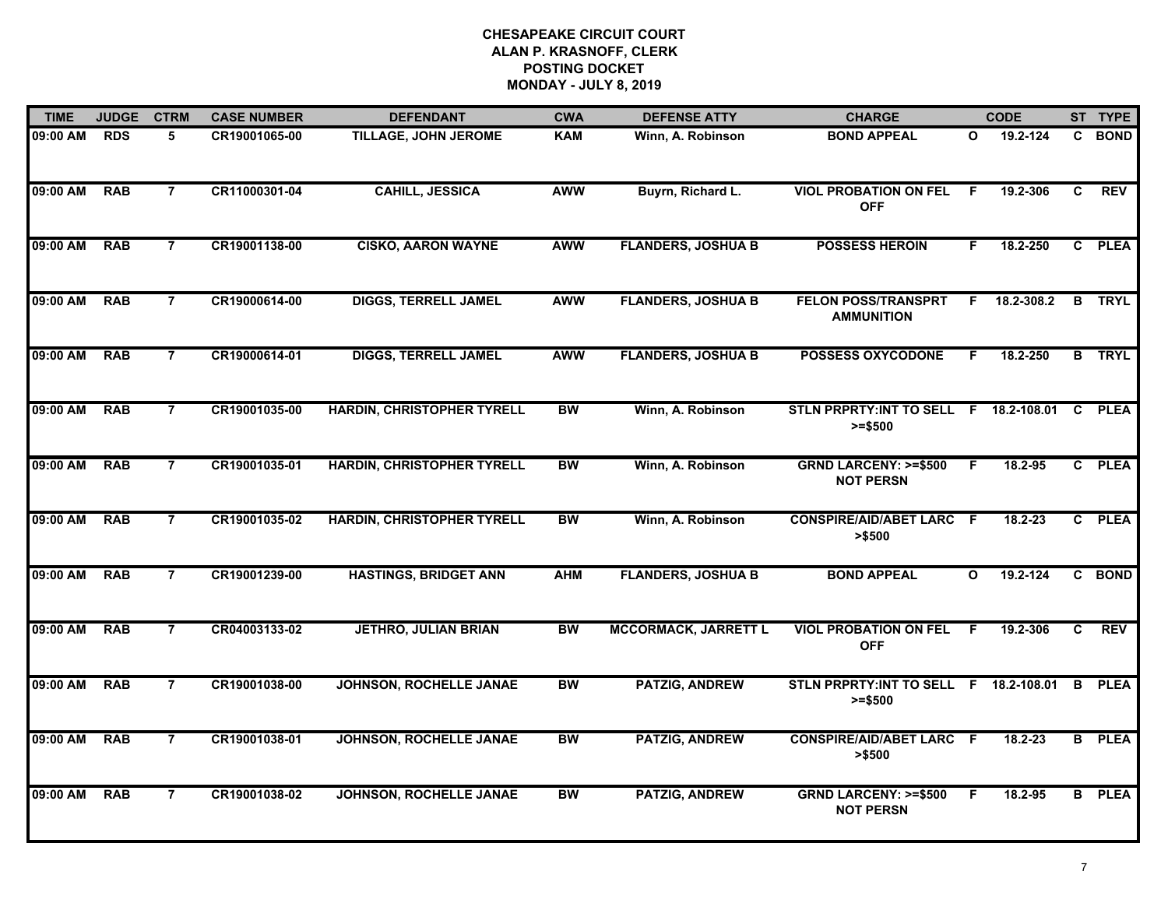| <b>TIME</b> | <b>JUDGE</b> | <b>CTRM</b>    | <b>CASE NUMBER</b> | <b>DEFENDANT</b>                  | <b>CWA</b> | <b>DEFENSE ATTY</b>         | <b>CHARGE</b>                                       |              | <b>CODE</b> |              | ST TYPE       |
|-------------|--------------|----------------|--------------------|-----------------------------------|------------|-----------------------------|-----------------------------------------------------|--------------|-------------|--------------|---------------|
| 09:00 AM    | <b>RDS</b>   | 5              | CR19001065-00      | TILLAGE, JOHN JEROME              | <b>KAM</b> | Winn, A. Robinson           | <b>BOND APPEAL</b>                                  | $\mathbf{o}$ | 19.2-124    | C.           | <b>BOND</b>   |
| 09:00 AM    | <b>RAB</b>   | $\overline{7}$ | CR11000301-04      | <b>CAHILL, JESSICA</b>            | <b>AWW</b> | Buyrn, Richard L.           | <b>VIOL PROBATION ON FEL</b><br><b>OFF</b>          | F.           | 19.2-306    | C            | <b>REV</b>    |
| 09:00 AM    | <b>RAB</b>   | $\overline{7}$ | CR19001138-00      | <b>CISKO, AARON WAYNE</b>         | <b>AWW</b> | <b>FLANDERS, JOSHUA B</b>   | <b>POSSESS HEROIN</b>                               | F.           | 18.2-250    |              | C PLEA        |
| 09:00 AM    | <b>RAB</b>   | 7              | CR19000614-00      | <b>DIGGS, TERRELL JAMEL</b>       | <b>AWW</b> | <b>FLANDERS, JOSHUA B</b>   | <b>FELON POSS/TRANSPRT</b><br><b>AMMUNITION</b>     | F            | 18.2-308.2  | B            | <b>TRYL</b>   |
| 09:00 AM    | <b>RAB</b>   | $\overline{7}$ | CR19000614-01      | <b>DIGGS, TERRELL JAMEL</b>       | <b>AWW</b> | <b>FLANDERS, JOSHUA B</b>   | <b>POSSESS OXYCODONE</b>                            | F.           | 18.2-250    |              | <b>B</b> TRYL |
| 09:00 AM    | <b>RAB</b>   | $\overline{7}$ | CR19001035-00      | <b>HARDIN, CHRISTOPHER TYRELL</b> | <b>BW</b>  | Winn, A. Robinson           | STLN PRPRTY: INT TO SELL F 18.2-108.01<br>$>= $500$ |              |             | C            | <b>PLEA</b>   |
| 09:00 AM    | <b>RAB</b>   | $\overline{7}$ | CR19001035-01      | <b>HARDIN, CHRISTOPHER TYRELL</b> | <b>BW</b>  | Winn, A. Robinson           | <b>GRND LARCENY: &gt;=\$500</b><br><b>NOT PERSN</b> | F.           | 18.2-95     |              | C PLEA        |
| 09:00 AM    | <b>RAB</b>   | $\overline{7}$ | CR19001035-02      | <b>HARDIN, CHRISTOPHER TYRELL</b> | <b>BW</b>  | Winn, A. Robinson           | <b>CONSPIRE/AID/ABET LARC F</b><br>> \$500          |              | $18.2 - 23$ |              | C PLEA        |
| 09:00 AM    | <b>RAB</b>   | 7              | CR19001239-00      | <b>HASTINGS, BRIDGET ANN</b>      | <b>AHM</b> | <b>FLANDERS, JOSHUA B</b>   | <b>BOND APPEAL</b>                                  | $\mathbf{o}$ | 19.2-124    | $\mathbf{c}$ | <b>BOND</b>   |
| 09:00 AM    | <b>RAB</b>   | $\overline{7}$ | CR04003133-02      | <b>JETHRO, JULIAN BRIAN</b>       | <b>BW</b>  | <b>MCCORMACK, JARRETT L</b> | <b>VIOL PROBATION ON FEL</b><br><b>OFF</b>          | -F           | 19.2-306    | C            | <b>REV</b>    |
| 09:00 AM    | <b>RAB</b>   | $\overline{7}$ | CR19001038-00      | JOHNSON, ROCHELLE JANAE           | BW         | <b>PATZIG, ANDREW</b>       | STLN PRPRTY: INT TO SELL F 18.2-108.01<br>$>= $500$ |              |             | B            | <b>PLEA</b>   |
| 09:00 AM    | <b>RAB</b>   | $\overline{7}$ | CR19001038-01      | JOHNSON, ROCHELLE JANAE           | <b>BW</b>  | <b>PATZIG, ANDREW</b>       | <b>CONSPIRE/AID/ABET LARC F</b><br>> \$500          |              | $18.2 - 23$ |              | <b>B</b> PLEA |
| 09:00 AM    | <b>RAB</b>   | $\overline{7}$ | CR19001038-02      | JOHNSON, ROCHELLE JANAE           | <b>BW</b>  | <b>PATZIG, ANDREW</b>       | <b>GRND LARCENY: &gt;=\$500</b><br><b>NOT PERSN</b> | F.           | $18.2 - 95$ |              | <b>B</b> PLEA |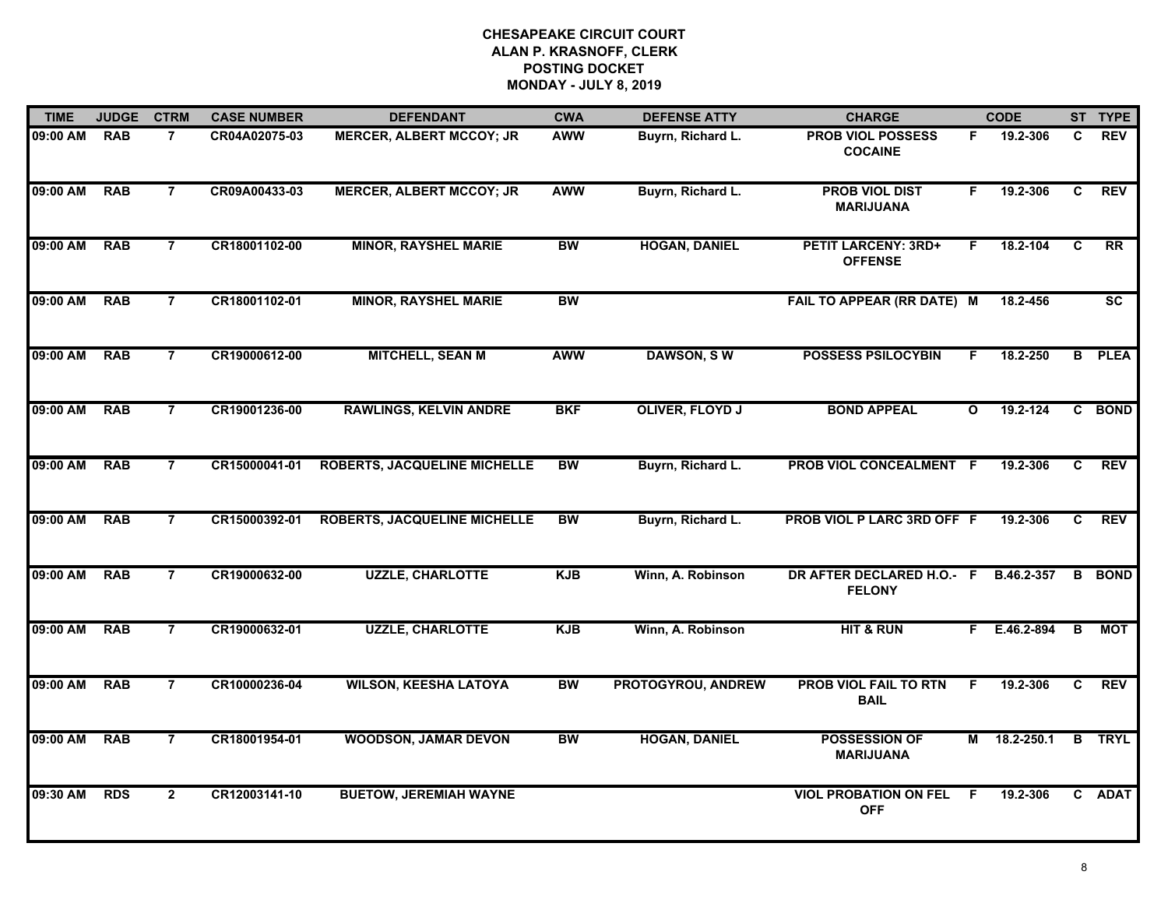| <b>TIME</b> | <b>JUDGE</b> | <b>CTRM</b>    | <b>CASE NUMBER</b> | <b>DEFENDANT</b>                    | <b>CWA</b> | <b>DEFENSE ATTY</b>    | <b>CHARGE</b>                                |              | <b>CODE</b>  |    | ST TYPE       |
|-------------|--------------|----------------|--------------------|-------------------------------------|------------|------------------------|----------------------------------------------|--------------|--------------|----|---------------|
| 09:00 AM    | <b>RAB</b>   | 7              | CR04A02075-03      | <b>MERCER, ALBERT MCCOY; JR</b>     | <b>AWW</b> | Buyrn, Richard L.      | <b>PROB VIOL POSSESS</b><br><b>COCAINE</b>   | F.           | 19.2-306     | C. | <b>REV</b>    |
| 09:00 AM    | <b>RAB</b>   | $\overline{7}$ | CR09A00433-03      | <b>MERCER, ALBERT MCCOY; JR</b>     | <b>AWW</b> | Buyrn, Richard L.      | <b>PROB VIOL DIST</b><br><b>MARIJUANA</b>    | F.           | 19.2-306     | C  | <b>REV</b>    |
| 09:00 AM    | <b>RAB</b>   | $\overline{7}$ | CR18001102-00      | <b>MINOR, RAYSHEL MARIE</b>         | <b>BW</b>  | <b>HOGAN, DANIEL</b>   | <b>PETIT LARCENY: 3RD+</b><br><b>OFFENSE</b> | F.           | 18.2-104     | C  | RR            |
| 09:00 AM    | <b>RAB</b>   | 7              | CR18001102-01      | <b>MINOR, RAYSHEL MARIE</b>         | BW         |                        | <b>FAIL TO APPEAR (RR DATE) M</b>            |              | 18.2-456     |    | SC            |
| 09:00 AM    | <b>RAB</b>   | $\overline{7}$ | CR19000612-00      | <b>MITCHELL, SEAN M</b>             | <b>AWW</b> | <b>DAWSON, SW</b>      | <b>POSSESS PSILOCYBIN</b>                    | F.           | 18.2-250     |    | <b>B</b> PLEA |
| 09:00 AM    | <b>RAB</b>   | $\overline{7}$ | CR19001236-00      | <b>RAWLINGS, KELVIN ANDRE</b>       | <b>BKF</b> | <b>OLIVER, FLOYD J</b> | <b>BOND APPEAL</b>                           | $\mathbf{o}$ | 19.2-124     |    | C BOND        |
| 09:00 AM    | <b>RAB</b>   | $\overline{7}$ | CR15000041-01      | <b>ROBERTS, JACQUELINE MICHELLE</b> | <b>BW</b>  | Buyrn, Richard L.      | PROB VIOL CONCEALMENT F                      |              | 19.2-306     | C  | <b>REV</b>    |
| 09:00 AM    | <b>RAB</b>   | $\overline{7}$ | CR15000392-01      | <b>ROBERTS, JACQUELINE MICHELLE</b> | <b>BW</b>  | Buyrn, Richard L.      | PROB VIOL P LARC 3RD OFF F                   |              | 19.2-306     | C  | <b>REV</b>    |
| 09:00 AM    | <b>RAB</b>   | 7              | CR19000632-00      | <b>UZZLE, CHARLOTTE</b>             | <b>KJB</b> | Winn, A. Robinson      | DR AFTER DECLARED H.O.- F<br><b>FELONY</b>   |              | B.46.2-357   |    | <b>B</b> BOND |
| 09:00 AM    | <b>RAB</b>   | $\overline{7}$ | CR19000632-01      | <b>UZZLE, CHARLOTTE</b>             | <b>KJB</b> | Winn, A. Robinson      | <b>HIT &amp; RUN</b>                         |              | F E.46.2-894 | B  | <b>MOT</b>    |
| 09:00 AM    | <b>RAB</b>   | $\overline{7}$ | CR10000236-04      | <b>WILSON, KEESHA LATOYA</b>        | BW         | PROTOGYROU, ANDREW     | <b>PROB VIOL FAIL TO RTN</b><br><b>BAIL</b>  | F            | 19.2-306     | C  | <b>REV</b>    |
| 09:00 AM    | <b>RAB</b>   | $\overline{7}$ | CR18001954-01      | <b>WOODSON, JAMAR DEVON</b>         | <b>BW</b>  | <b>HOGAN, DANIEL</b>   | <b>POSSESSION OF</b><br><b>MARIJUANA</b>     | Μ            | 18.2-250.1   |    | <b>B</b> TRYL |
| 09:30 AM    | <b>RDS</b>   | $\mathbf{2}$   | CR12003141-10      | <b>BUETOW, JEREMIAH WAYNE</b>       |            |                        | <b>VIOL PROBATION ON FEL</b><br><b>OFF</b>   | E            | 19.2-306     |    | C ADAT        |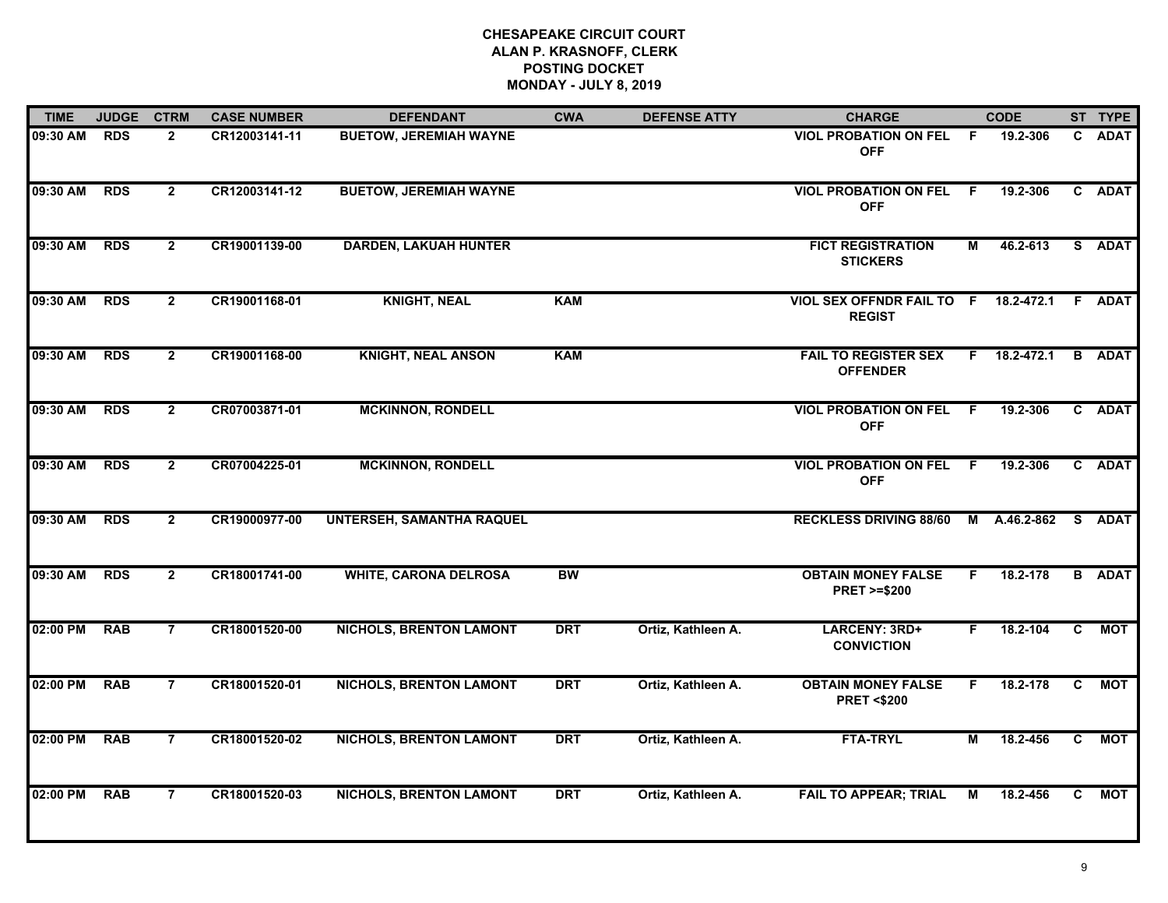| <b>TIME</b> | <b>JUDGE</b> | <b>CTRM</b>    | <b>CASE NUMBER</b> | <b>DEFENDANT</b>                 | <b>CWA</b> | <b>DEFENSE ATTY</b> | <b>CHARGE</b>                                                |     | <b>CODE</b>        |              | ST TYPE       |
|-------------|--------------|----------------|--------------------|----------------------------------|------------|---------------------|--------------------------------------------------------------|-----|--------------------|--------------|---------------|
| 09:30 AM    | <b>RDS</b>   | $\overline{2}$ | CR12003141-11      | <b>BUETOW, JEREMIAH WAYNE</b>    |            |                     | <b>VIOL PROBATION ON FEL</b><br><b>OFF</b>                   | -F  | 19.2-306           | C.           | <b>ADAT</b>   |
| 09:30 AM    | <b>RDS</b>   | $\overline{2}$ | CR12003141-12      | <b>BUETOW, JEREMIAH WAYNE</b>    |            |                     | <b>VIOL PROBATION ON FEL</b><br><b>OFF</b>                   | - F | 19.2-306           |              | C ADAT        |
| 09:30 AM    | <b>RDS</b>   | $\overline{2}$ | CR19001139-00      | <b>DARDEN, LAKUAH HUNTER</b>     |            |                     | <b>FICT REGISTRATION</b><br><b>STICKERS</b>                  | М   | 46.2-613           |              | S ADAT        |
| 09:30 AM    | <b>RDS</b>   | $\overline{2}$ | CR19001168-01      | <b>KNIGHT, NEAL</b>              | <b>KAM</b> |                     | VIOL SEX OFFNDR FAIL TO F 18.2-472.1 F ADAT<br><b>REGIST</b> |     |                    |              |               |
| 09:30 AM    | <b>RDS</b>   | $\overline{2}$ | CR19001168-00      | <b>KNIGHT, NEAL ANSON</b>        | <b>KAM</b> |                     | <b>FAIL TO REGISTER SEX</b><br><b>OFFENDER</b>               |     | $F = 18.2 - 472.1$ |              | <b>B</b> ADAT |
| 09:30 AM    | <b>RDS</b>   | $\mathbf{2}$   | CR07003871-01      | <b>MCKINNON, RONDELL</b>         |            |                     | <b>VIOL PROBATION ON FEL F</b><br><b>OFF</b>                 |     | 19.2-306           |              | C ADAT        |
| 09:30 AM    | <b>RDS</b>   | $\overline{2}$ | CR07004225-01      | <b>MCKINNON, RONDELL</b>         |            |                     | <b>VIOL PROBATION ON FEL</b><br><b>OFF</b>                   | - F | 19.2-306           | $\mathbf{c}$ | <b>ADAT</b>   |
| 09:30 AM    | <b>RDS</b>   | $\overline{2}$ | CR19000977-00      | <b>UNTERSEH, SAMANTHA RAQUEL</b> |            |                     | <b>RECKLESS DRIVING 88/60</b>                                |     | M A.46.2-862       |              | S ADAT        |
| 09:30 AM    | <b>RDS</b>   | $\overline{2}$ | CR18001741-00      | <b>WHITE, CARONA DELROSA</b>     | <b>BW</b>  |                     | <b>OBTAIN MONEY FALSE</b><br><b>PRET &gt;=\$200</b>          | F.  | 18.2-178           |              | <b>B</b> ADAT |
| 02:00 PM    | <b>RAB</b>   | $\overline{7}$ | CR18001520-00      | <b>NICHOLS, BRENTON LAMONT</b>   | <b>DRT</b> | Ortiz, Kathleen A.  | LARCENY: 3RD+<br><b>CONVICTION</b>                           | F.  | 18.2-104           | C            | <b>NOT</b>    |
| 02:00 PM    | <b>RAB</b>   | $\overline{7}$ | CR18001520-01      | <b>NICHOLS, BRENTON LAMONT</b>   | <b>DRT</b> | Ortiz, Kathleen A.  | <b>OBTAIN MONEY FALSE</b><br><b>PRET &lt;\$200</b>           | F.  | 18.2-178           | C.           | <b>MOT</b>    |
| 02:00 PM    | <b>RAB</b>   | $\overline{7}$ | CR18001520-02      | <b>NICHOLS, BRENTON LAMONT</b>   | <b>DRT</b> | Ortiz, Kathleen A.  | <b>FTA-TRYL</b>                                              | М   | 18.2-456           | $\mathbf{c}$ | <b>MOT</b>    |
| 02:00 PM    | <b>RAB</b>   | $\overline{7}$ | CR18001520-03      | <b>NICHOLS, BRENTON LAMONT</b>   | <b>DRT</b> | Ortiz, Kathleen A.  | <b>FAIL TO APPEAR; TRIAL</b>                                 | М   | 18.2-456           | C            | <b>MOT</b>    |